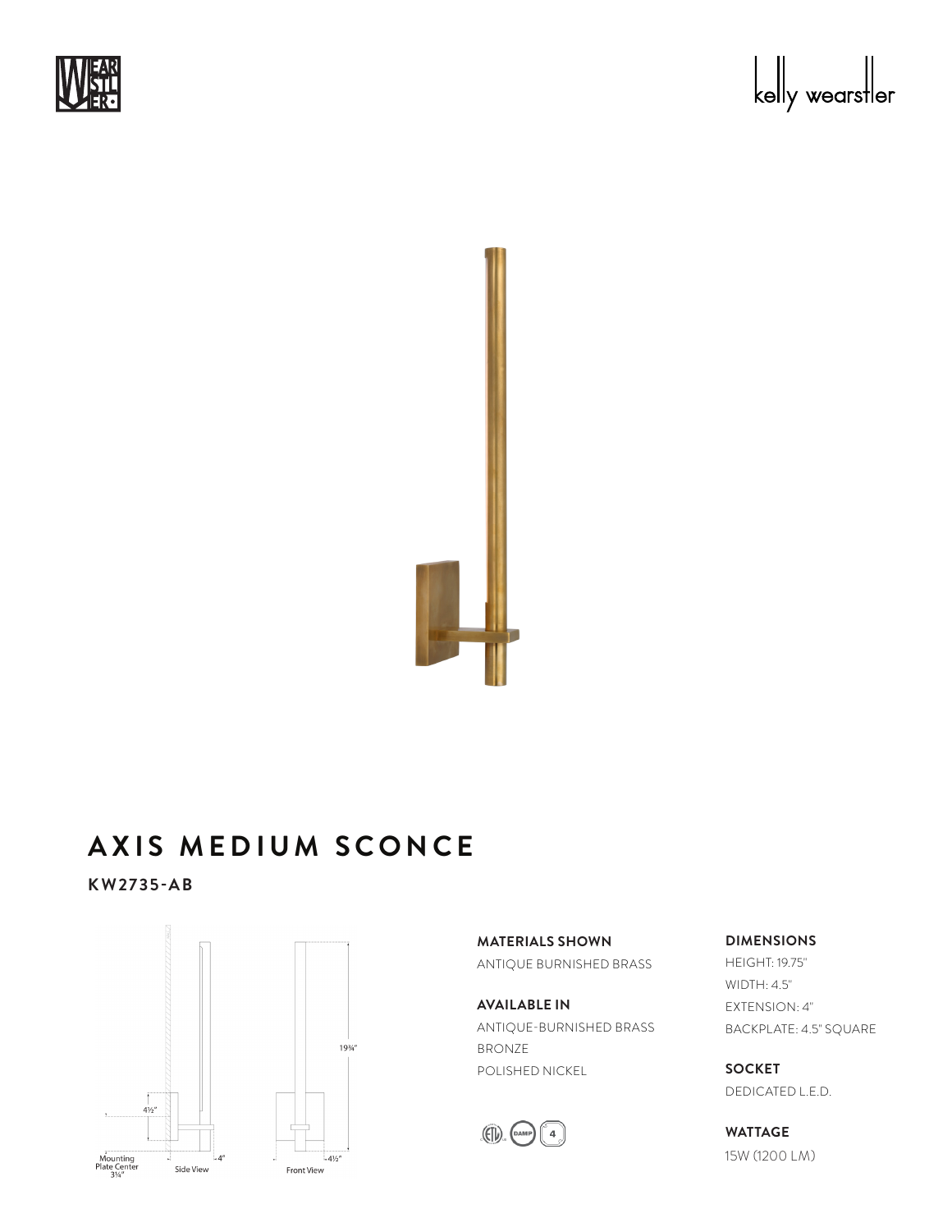





## **AXIS MEDIUM SCONCE** A YIC AA no.<br>.

**KW2735-AB**



**MATERIALS SHOWN** ANTIQUE BURNISHED BRASS

**AVAILABLE IN** ANTIQUE-BURNISHED BRASS BRONZE POLISHED NICKEL



**DIMENSIONS**

HEIGHT: 19.75" WIDTH: 4.5" EXTENSION: 4" BACKPLATE: 4.5" SQUARE

**SOCKET** DEDICATED L.E.D.

**WATTAGE** 15W (1200 LM)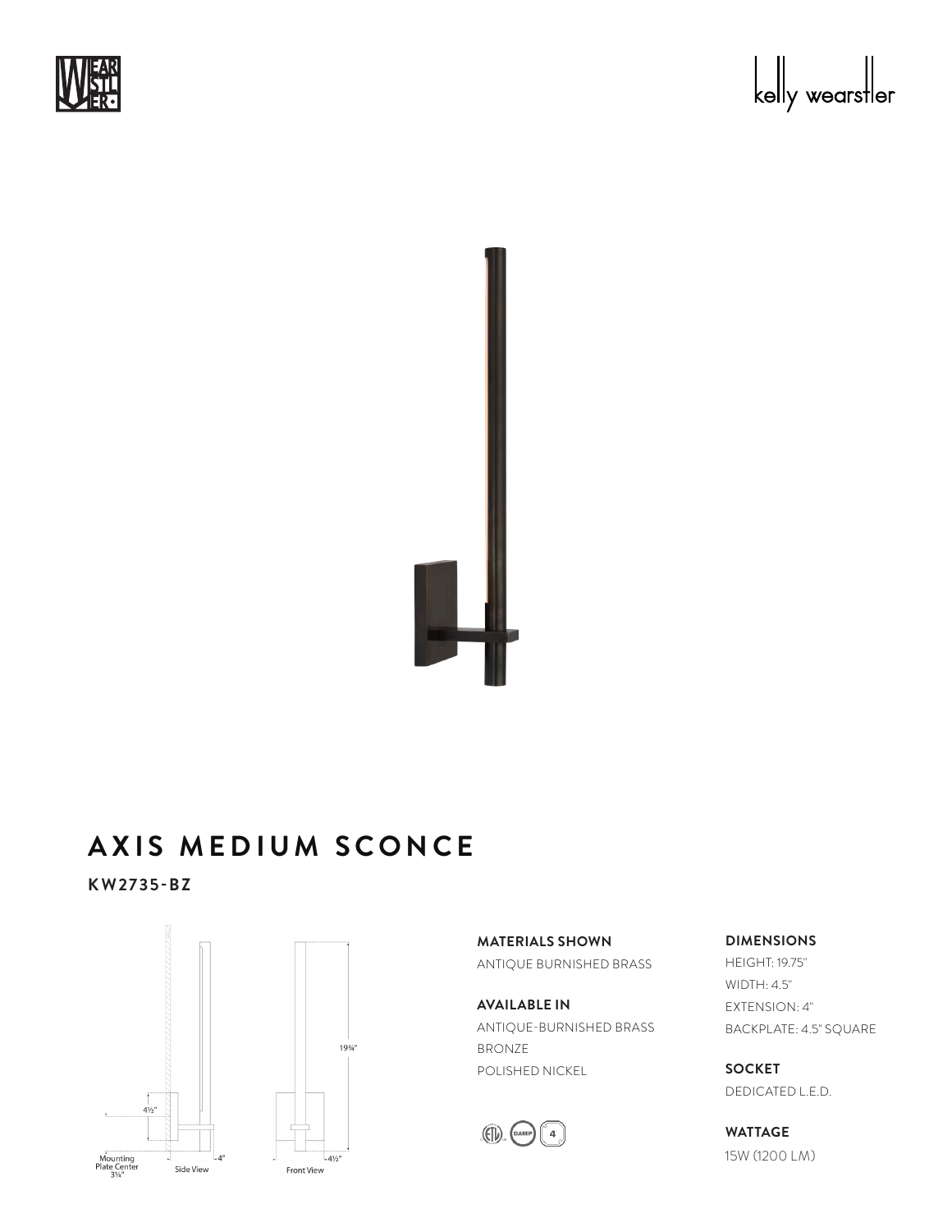





## **AXIS MEDIUM SCONCE** A YIC AA no.<br>.

**KW2735-BZ**



**MATERIALS SHOWN** ANTIQUE BURNISHED BRASS

**AVAILABLE IN** ANTIQUE-BURNISHED BRASS BRONZE POLISHED NICKEL



**DIMENSIONS**

HEIGHT: 19.75" WIDTH: 4.5" EXTENSION: 4" BACKPLATE: 4.5" SQUARE

**SOCKET** DEDICATED L.E.D.

**WATTAGE** 15W (1200 LM)